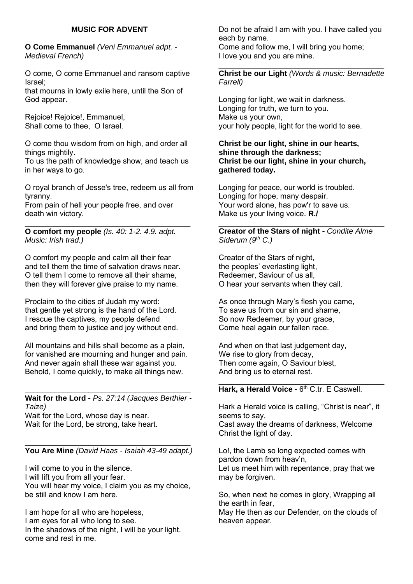# **MUSIC FOR ADVENT**

**O Come Emmanuel** *(Veni Emmanuel adpt. - Medieval French)*

O come, O come Emmanuel and ransom captive Israel;

that mourns in lowly exile here, until the Son of God appear.

Rejoice! Rejoice!, Emmanuel, Shall come to thee, O Israel.

O come thou wisdom from on high, and order all things mightily.

To us the path of knowledge show, and teach us in her ways to go.

O royal branch of Jesse's tree, redeem us all from tyranny.

\_\_\_\_\_\_\_\_\_\_\_\_\_\_\_\_\_\_\_\_\_\_\_\_\_\_\_\_\_\_\_\_\_\_\_\_\_\_\_

From pain of hell your people free, and over death win victory.

**O comfort my people** *(Is. 40: 1-2. 4.9. adpt. Music: Irish trad.)*

O comfort my people and calm all their fear and tell them the time of salvation draws near. O tell them I come to remove all their shame, then they will forever give praise to my name.

Proclaim to the cities of Judah my word: that gentle yet strong is the hand of the Lord. I rescue the captives, my people defend and bring them to justice and joy without end.

All mountains and hills shall become as a plain, for vanished are mourning and hunger and pain. And never again shall these war against you. Behold, I come quickly, to make all things new.

\_\_\_\_\_\_\_\_\_\_\_\_\_\_\_\_\_\_\_\_\_\_\_\_\_\_\_\_\_\_\_\_\_\_\_\_\_\_\_ **Wait for the Lord** - *Ps. 27:14 (Jacques Berthier - Taize)*

Wait for the Lord, whose day is near. Wait for the Lord, be strong, take heart.

#### \_\_\_\_\_\_\_\_\_\_\_\_\_\_\_\_\_\_\_\_\_\_\_\_\_\_\_\_\_\_\_\_\_\_\_\_\_\_\_ **You Are Mine** *(David Haas - Isaiah 43-49 adapt.)*

I will come to you in the silence. I will lift you from all your fear. You will hear my voice, I claim you as my choice, be still and know I am here.

I am hope for all who are hopeless, I am eyes for all who long to see. In the shadows of the night, I will be your light. come and rest in me.

Do not be afraid I am with you. I have called you each by name.

Come and follow me, I will bring you home; I love you and you are mine.

\_\_\_\_\_\_\_\_\_\_\_\_\_\_\_\_\_\_\_\_\_\_\_\_\_\_\_\_\_\_\_\_\_\_\_\_\_\_\_ **Christ be our Light** *(Words & music: Bernadette Farrell)*

Longing for light, we wait in darkness. Longing for truth, we turn to you. Make us your own, your holy people, light for the world to see.

**Christ be our light, shine in our hearts, shine through the darkness; Christ be our light, shine in your church, gathered today.**

Longing for peace, our world is troubled. Longing for hope, many despair. Your word alone, has pow'r to save us. Make us your living voice. **R./**

\_\_\_\_\_\_\_\_\_\_\_\_\_\_\_\_\_\_\_\_\_\_\_\_\_\_\_\_\_\_\_\_\_\_\_\_\_\_\_ **Creator of the Stars of night** - *Condite Alme Siderum (9th C.)*

Creator of the Stars of night, the peoples' everlasting light, Redeemer, Saviour of us all, O hear your servants when they call.

As once through Mary's flesh you came, To save us from our sin and shame, So now Redeemer, by your grace, Come heal again our fallen race.

And when on that last judgement day, We rise to glory from decay. Then come again, O Saviour blest, And bring us to eternal rest.

#### \_\_\_\_\_\_\_\_\_\_\_\_\_\_\_\_\_\_\_\_\_\_\_\_\_\_\_\_\_\_\_\_\_\_\_\_\_\_\_ Hark, a Herald Voice - 6<sup>th</sup> C.tr. E Caswell.

Hark a Herald voice is calling, "Christ is near", it seems to say, Cast away the dreams of darkness, Welcome Christ the light of day.

Lo!, the Lamb so long expected comes with pardon down from heav'n, Let us meet him with repentance, pray that we may be forgiven.

So, when next he comes in glory, Wrapping all the earth in fear,

May He then as our Defender, on the clouds of heaven appear.